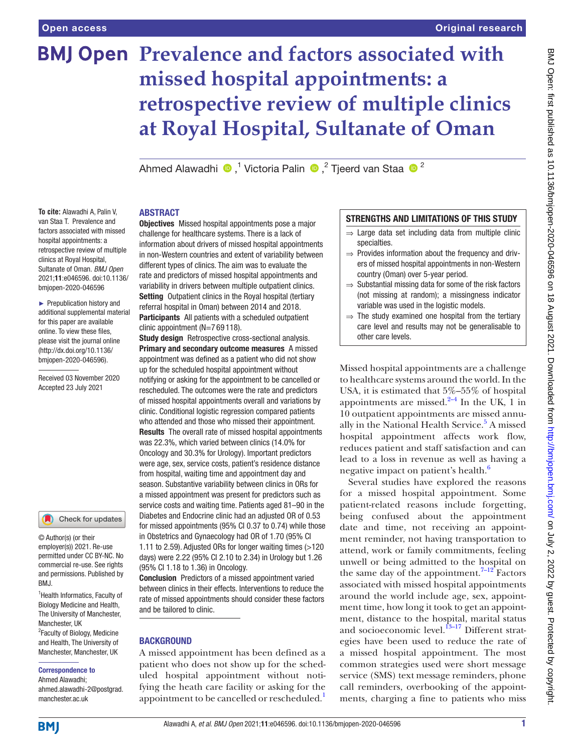# **BMJ Open Prevalence and factors associated with missed hospital appointments: a retrospective review of multiple clinics at Royal Hospital, Sultanate of Oman**

Ahmed Alawadhi <sup>®</sup>,<sup>1</sup> Victoria Palin ®,<sup>2</sup> Tjeerd van Staa ®<sup>2</sup>

#### ABSTRACT

**To cite:** Alawadhi A, Palin V, van Staa T. Prevalence and factors associated with missed hospital appointments: a retrospective review of multiple clinics at Royal Hospital, Sultanate of Oman. *BMJ Open* 2021;11:e046596. doi:10.1136/ bmjopen-2020-046596

► Prepublication history and additional supplemental material for this paper are available online. To view these files, please visit the journal online [\(http://dx.doi.org/10.1136/](http://dx.doi.org/10.1136/bmjopen-2020-046596) [bmjopen-2020-046596](http://dx.doi.org/10.1136/bmjopen-2020-046596)).

Received 03 November 2020 Accepted 23 July 2021



© Author(s) (or their employer(s)) 2021. Re-use permitted under CC BY-NC. No commercial re-use. See rights and permissions. Published by BMJ.

1 Health Informatics, Faculty of Biology Medicine and Health, The University of Manchester, Manchester, UK <sup>2</sup> Faculty of Biology, Medicine and Health, The University of Manchester, Manchester, UK

#### Correspondence to

Ahmed Alawadhi; ahmed.alawadhi-2@postgrad. manchester.ac.uk

**Objectives** Missed hospital appointments pose a major challenge for healthcare systems. There is a lack of information about drivers of missed hospital appointments in non-Western countries and extent of variability between different types of clinics. The aim was to evaluate the rate and predictors of missed hospital appointments and variability in drivers between multiple outpatient clinics. Setting Outpatient clinics in the Royal hospital (tertiary referral hospital in Oman) between 2014 and 2018. Participants All patients with a scheduled outpatient clinic appointment (N=7 69 118).

**Study design** Retrospective cross-sectional analysis. Primary and secondary outcome measures A missed appointment was defined as a patient who did not show up for the scheduled hospital appointment without notifying or asking for the appointment to be cancelled or rescheduled. The outcomes were the rate and predictors of missed hospital appointments overall and variations by clinic. Conditional logistic regression compared patients who attended and those who missed their appointment. Results The overall rate of missed hospital appointments was 22.3%, which varied between clinics (14.0% for Oncology and 30.3% for Urology). Important predictors were age, sex, service costs, patient's residence distance from hospital, waiting time and appointment day and season. Substantive variability between clinics in ORs for a missed appointment was present for predictors such as service costs and waiting time. Patients aged 81–90 in the Diabetes and Endocrine clinic had an adjusted OR of 0.53 for missed appointments (95% CI 0.37 to 0.74) while those in Obstetrics and Gynaecology had OR of 1.70 (95% CI 1.11 to 2.59). Adjusted ORs for longer waiting times (>120 days) were 2.22 (95% CI 2.10 to 2.34) in Urology but 1.26 (95% CI 1.18 to 1.36) in Oncology.

Conclusion Predictors of a missed appointment varied between clinics in their effects. Interventions to reduce the rate of missed appointments should consider these factors and be tailored to clinic.

#### **BACKGROUND**

A missed appointment has been defined as a patient who does not show up for the scheduled hospital appointment without notifying the heath care facility or asking for the appointment to be cancelled or rescheduled.<sup>[1](#page-7-0)</sup>

# STRENGTHS AND LIMITATIONS OF THIS STUDY

- ⇒ Large data set including data from multiple clinic specialties.
- $\Rightarrow$  Provides information about the frequency and drivers of missed hospital appointments in non-Western country (Oman) over 5-year period.
- $\Rightarrow$  Substantial missing data for some of the risk factors (not missing at random); a missingness indicator variable was used in the logistic models.
- $\Rightarrow$  The study examined one hospital from the tertiary care level and results may not be generalisable to other care levels.

Missed hospital appointments are a challenge to healthcare systems around the world. In the USA, it is estimated that 5%–55% of hospital appointments are missed. $2-4$  In the UK, 1 in 10 outpatient appointments are missed annually in the National Health Service.<sup>5</sup> A missed hospital appointment affects work flow, reduces patient and staff satisfaction and can lead to a loss in revenue as well as having a negative impact on patient's health.<sup>[6](#page-7-3)</sup>

Several studies have explored the reasons for a missed hospital appointment. Some patient-related reasons include forgetting, being confused about the appointment date and time, not receiving an appointment reminder, not having transportation to attend, work or family commitments, feeling unwell or being admitted to the hospital on the same day of the appointment.<sup>7–12</sup> Factors associated with missed hospital appointments around the world include age, sex, appointment time, how long it took to get an appointment, distance to the hospital, marital status and socioeconomic level. $^{13-17}$  Different strategies have been used to reduce the rate of a missed hospital appointment. The most common strategies used were short message service (SMS) text message reminders, phone call reminders, overbooking of the appointments, charging a fine to patients who miss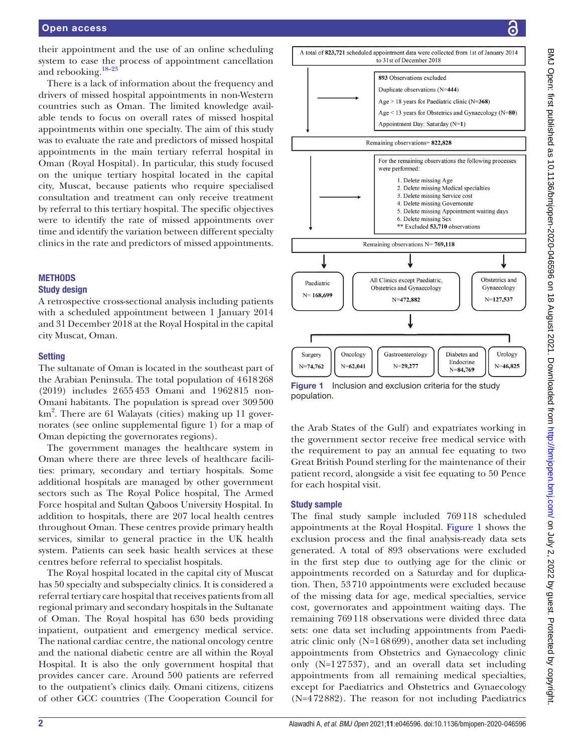their appointment and the use of an online scheduling system to ease the process of appointment cancellation and rebooking[.18–23](#page-8-1)

There is a lack of information about the frequency and drivers of missed hospital appointments in non-Western countries such as Oman. The limited knowledge available tends to focus on overall rates of missed hospital appointments within one specialty. The aim of this study was to evaluate the rate and predictors of missed hospital appointments in the main tertiary referral hospital in Oman (Royal Hospital). In particular, this study focused on the unique tertiary hospital located in the capital city, Muscat, because patients who require specialised consultation and treatment can only receive treatment by referral to this tertiary hospital. The specific objectives were to identify the rate of missed appointments over time and identify the variation between different specialty clinics in the rate and predictors of missed appointments.

#### **METHODS**

#### Study design

A retrospective cross-sectional analysis including patients with a scheduled appointment between 1 January 2014 and 31 December 2018 at the Royal Hospital in the capital city Muscat, Oman.

#### **Setting**

The sultanate of Oman is located in the southeast part of the Arabian Peninsula. The total population of 4618268 (2019) includes 2655453 Omani and 1962815 non-Omani habitants. The population is spread over 309500 km<sup>2</sup>. There are 61 Walayats (cities) making up 11 governorates (see [online supplemental figure 1](https://dx.doi.org/10.1136/bmjopen-2020-046596)) for a map of Oman depicting the governorates regions).

The government manages the healthcare system in Oman where there are three levels of healthcare facilities: primary, secondary and tertiary hospitals. Some additional hospitals are managed by other government sectors such as The Royal Police hospital, The Armed Force hospital and Sultan Qaboos University Hospital. In addition to hospitals, there are 207 local health centres throughout Oman. These centres provide primary health services, similar to general practice in the UK health system. Patients can seek basic health services at these centres before referral to specialist hospitals.

The Royal hospital located in the capital city of Muscat has 50 specialty and subspecialty clinics. It is considered a referral tertiary care hospital that receives patients from all regional primary and secondary hospitals in the Sultanate of Oman. The Royal hospital has 630 beds providing inpatient, outpatient and emergency medical service. The national cardiac centre, the national oncology centre and the national diabetic centre are all within the Royal Hospital. It is also the only government hospital that provides cancer care. Around 500 patients are referred to the outpatient's clinics daily. Omani citizens, citizens of other GCC countries (The Cooperation Council for



<span id="page-1-0"></span>**Figure 1** Inclusion and exclusion criteria for the study population.

the Arab States of the Gulf) and expatriates working in the government sector receive free medical service with the requirement to pay an annual fee equating to two Great British Pound sterling for the maintenance of their patient record, alongside a visit fee equating to 50 Pence for each hospital visit.

#### Study sample

The final study sample included 769118 scheduled appointments at the Royal Hospital. [Figure](#page-1-0) 1 shows the exclusion process and the final analysis-ready data sets generated. A total of 893 observations were excluded in the first step due to outlying age for the clinic or appointments recorded on a Saturday and for duplication. Then, 53710 appointments were excluded because of the missing data for age, medical specialties, service cost, governorates and appointment waiting days. The remaining 769118 observations were divided three data sets: one data set including appointments from Paediatric clinic only (N=168699), another data set including appointments from Obstetrics and Gynaecology clinic only (N=127537), and an overall data set including appointments from all remaining medical specialties, except for Paediatrics and Obstetrics and Gynaecology (N=472882). The reason for not including Paediatrics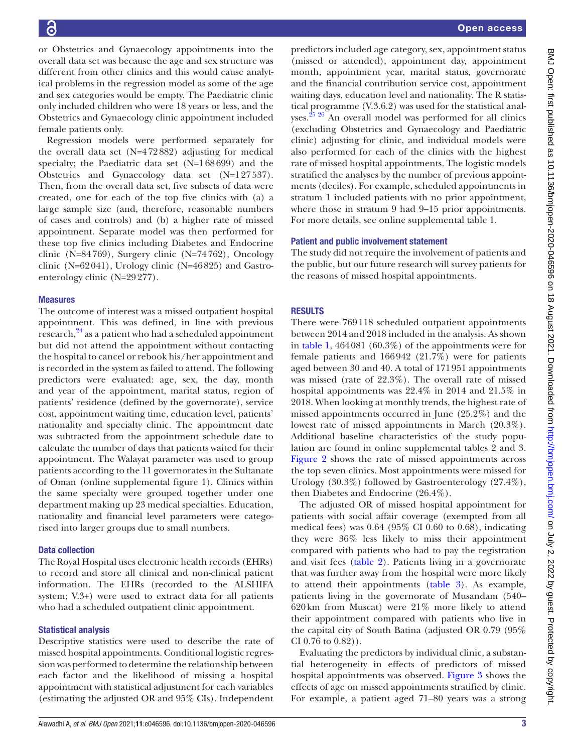or Obstetrics and Gynaecology appointments into the overall data set was because the age and sex structure was different from other clinics and this would cause analytical problems in the regression model as some of the age and sex categories would be empty. The Paediatric clinic only included children who were 18 years or less, and the Obstetrics and Gynaecology clinic appointment included female patients only.

Regression models were performed separately for the overall data set (N=472882) adjusting for medical specialty; the Paediatric data set (N=168699) and the Obstetrics and Gynaecology data set (N=127537). Then, from the overall data set, five subsets of data were created, one for each of the top five clinics with (a) a large sample size (and, therefore, reasonable numbers of cases and controls) and (b) a higher rate of missed appointment. Separate model was then performed for these top five clinics including Diabetes and Endocrine clinic (N=84769), Surgery clinic (N=74762), Oncology clinic (N= $62041$ ), Urology clinic (N= $46825$ ) and Gastroenterology clinic (N=29277).

#### Measures

The outcome of interest was a missed outpatient hospital appointment. This was defined, in line with previous research,<sup>24</sup> as a patient who had a scheduled appointment but did not attend the appointment without contacting the hospital to cancel or rebook his/her appointment and is recorded in the system as failed to attend. The following predictors were evaluated: age, sex, the day, month and year of the appointment, marital status, region of patients' residence (defined by the governorate), service cost, appointment waiting time, education level, patients' nationality and specialty clinic. The appointment date was subtracted from the appointment schedule date to calculate the number of days that patients waited for their appointment. The Walayat parameter was used to group patients according to the 11 governorates in the Sultanate of Oman [\(online supplemental figure 1\)](https://dx.doi.org/10.1136/bmjopen-2020-046596). Clinics within the same specialty were grouped together under one department making up 23 medical specialties. Education, nationality and financial level parameters were categorised into larger groups due to small numbers.

#### Data collection

The Royal Hospital uses electronic health records (EHRs) to record and store all clinical and non-clinical patient information. The EHRs (recorded to the ALSHIFA system; V.3+) were used to extract data for all patients who had a scheduled outpatient clinic appointment.

#### Statistical analysis

Descriptive statistics were used to describe the rate of missed hospital appointments. Conditional logistic regression was performed to determine the relationship between each factor and the likelihood of missing a hospital appointment with statistical adjustment for each variables (estimating the adjusted OR and 95% CIs). Independent

predictors included age category, sex, appointment status (missed or attended), appointment day, appointment month, appointment year, marital status, governorate and the financial contribution service cost, appointment waiting days, education level and nationality. The R statistical programme (V.3.6.2) was used for the statistical anal-yses.<sup>[25 26](#page-8-3)</sup> An overall model was performed for all clinics (excluding Obstetrics and Gynaecology and Paediatric clinic) adjusting for clinic, and individual models were also performed for each of the clinics with the highest rate of missed hospital appointments. The logistic models stratified the analyses by the number of previous appointments (deciles). For example, scheduled appointments in stratum 1 included patients with no prior appointment, where those in stratum 9 had 9–15 prior appointments. For more details, see [online supplemental table 1](https://dx.doi.org/10.1136/bmjopen-2020-046596).

#### Patient and public involvement statement

The study did not require the involvement of patients and the public, but our future research will survey patients for the reasons of missed hospital appointments.

#### **RESULTS**

There were 769118 scheduled outpatient appointments between 2014 and 2018 included in the analysis. As shown in [table](#page-3-0) 1, 464081 (60.3%) of the appointments were for female patients and 166942 (21.7%) were for patients aged between 30 and 40. A total of 171951 appointments was missed (rate of 22.3%). The overall rate of missed hospital appointments was 22.4% in 2014 and 21.5% in 2018. When looking at monthly trends, the highest rate of missed appointments occurred in June (25.2%) and the lowest rate of missed appointments in March (20.3%). Additional baseline characteristics of the study population are found in [online supplemental tables 2 and 3](https://dx.doi.org/10.1136/bmjopen-2020-046596). [Figure](#page-4-0) 2 shows the rate of missed appointments across the top seven clinics. Most appointments were missed for Urology (30.3%) followed by Gastroenterology (27.4%), then Diabetes and Endocrine (26.4%).

The adjusted OR of missed hospital appointment for patients with social affair coverage (exempted from all medical fees) was 0.64 (95% CI 0.60 to 0.68), indicating they were 36% less likely to miss their appointment compared with patients who had to pay the registration and visit fees [\(table](#page-5-0) 2). Patients living in a governorate that was further away from the hospital were more likely to attend their appointments [\(table](#page-5-1) 3). As example, patients living in the governorate of Musandam (540– 620km from Muscat) were 21% more likely to attend their appointment compared with patients who live in the capital city of South Batina (adjusted OR 0.79 (95% CI 0.76 to 0.82)).

Evaluating the predictors by individual clinic, a substantial heterogeneity in effects of predictors of missed hospital appointments was observed. [Figure](#page-6-0) 3 shows the effects of age on missed appointments stratified by clinic. For example, a patient aged 71–80 years was a strong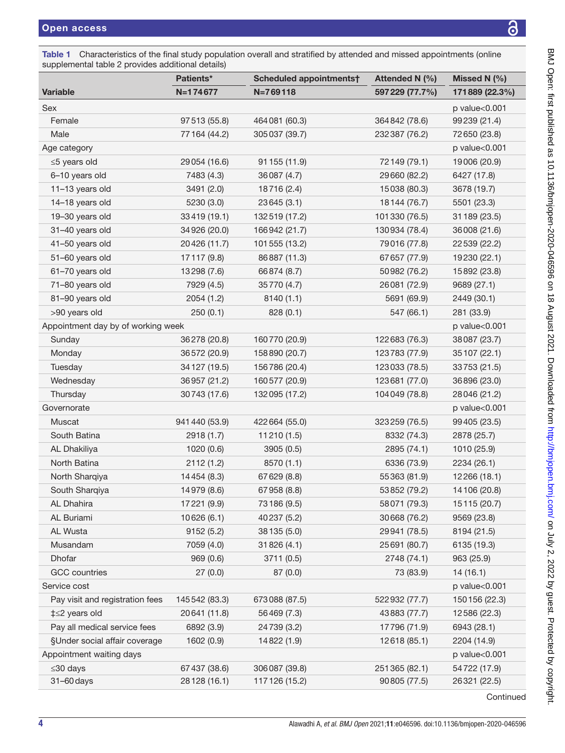<span id="page-3-0"></span>Table 1 Characteristics of the final study population overall and stratified by attended and missed appointments (online [supplemental table 2](https://dx.doi.org/10.1136/bmjopen-2020-046596) provides additional details)

| <b>1.1.</b>                        | Patients*      | Scheduled appointments† | Attended N (%)  | Missed N $(%)$ |
|------------------------------------|----------------|-------------------------|-----------------|----------------|
| <b>Variable</b>                    | N=174677       | $N = 769118$            | 597 229 (77.7%) | 171889 (22.3%) |
| Sex                                |                |                         |                 | p value<0.001  |
| Female                             | 97513 (55.8)   | 464081 (60.3)           | 364 842 (78.6)  | 99239 (21.4)   |
| Male                               | 77 164 (44.2)  | 305037 (39.7)           | 232387 (76.2)   | 72650 (23.8)   |
| Age category                       |                |                         |                 | p value<0.001  |
| ≤5 years old                       | 29054 (16.6)   | 91 155 (11.9)           | 72149 (79.1)    | 19006 (20.9)   |
| 6-10 years old                     | 7483 (4.3)     | 36087 (4.7)             | 29660 (82.2)    | 6427 (17.8)    |
| 11-13 years old                    | 3491 (2.0)     | 18716 (2.4)             | 15038 (80.3)    | 3678 (19.7)    |
| 14-18 years old                    | 5230 (3.0)     | 23645 (3.1)             | 18144 (76.7)    | 5501 (23.3)    |
| 19-30 years old                    | 33419 (19.1)   | 132519 (17.2)           | 101330 (76.5)   | 31 189 (23.5)  |
| 31-40 years old                    | 34926 (20.0)   | 166942 (21.7)           | 130934 (78.4)   | 36008 (21.6)   |
| 41-50 years old                    | 20426 (11.7)   | 101555 (13.2)           | 79016 (77.8)    | 22 539 (22.2)  |
| 51-60 years old                    | 17117 (9.8)    | 86887 (11.3)            | 67657 (77.9)    | 19230 (22.1)   |
| 61-70 years old                    | 13298 (7.6)    | 66874 (8.7)             | 50982 (76.2)    | 15892 (23.8)   |
| 71-80 years old                    | 7929 (4.5)     | 35770 (4.7)             | 26081 (72.9)    | 9689 (27.1)    |
| 81-90 years old                    | 2054(1.2)      | 8140 (1.1)              | 5691 (69.9)     | 2449 (30.1)    |
| >90 years old                      | 250(0.1)       | 828(0.1)                | 547 (66.1)      | 281 (33.9)     |
| Appointment day by of working week |                |                         |                 | p value<0.001  |
| Sunday                             | 36278 (20.8)   | 160770 (20.9)           | 122683 (76.3)   | 38087 (23.7)   |
| Monday                             | 36572 (20.9)   | 158890 (20.7)           | 123783 (77.9)   | 35107 (22.1)   |
| Tuesday                            | 34 127 (19.5)  | 156786 (20.4)           | 123033 (78.5)   | 33753 (21.5)   |
| Wednesday                          | 36957 (21.2)   | 160577 (20.9)           | 123681 (77.0)   | 36896 (23.0)   |
| Thursday                           | 30743 (17.6)   | 132095 (17.2)           | 104049 (78.8)   | 28046 (21.2)   |
| Governorate                        |                |                         |                 | p value<0.001  |
| Muscat                             | 941 440 (53.9) | 422 664 (55.0)          | 323259 (76.5)   | 99405 (23.5)   |
| South Batina                       | 2918 (1.7)     | 11210 (1.5)             | 8332 (74.3)     | 2878 (25.7)    |
| AL Dhakiliya                       | 1020(0.6)      | 3905 (0.5)              | 2895 (74.1)     | 1010 (25.9)    |
| North Batina                       | 2112(1.2)      | 8570 (1.1)              | 6336 (73.9)     | 2234 (26.1)    |
| North Sharqiya                     | 14454 (8.3)    | 67629 (8.8)             | 55363 (81.9)    | 12266 (18.1)   |
| South Sharqiya                     | 14979 (8.6)    | 67958 (8.8)             | 53852 (79.2)    | 14106 (20.8)   |
| AL Dhahira                         | 17221 (9.9)    | 73186 (9.5)             | 58071 (79.3)    | 15115 (20.7)   |
| AL Buriami                         | 10626 (6.1)    | 40237 (5.2)             | 30668 (76.2)    | 9569 (23.8)    |
| AL Wusta                           | 9152(5.2)      | 38 135 (5.0)            | 29941 (78.5)    | 8194 (21.5)    |
| Musandam                           | 7059 (4.0)     | 31826 (4.1)             | 25691 (80.7)    | 6135 (19.3)    |
| Dhofar                             | 969(0.6)       | 3711 (0.5)              | 2748 (74.1)     | 963 (25.9)     |
| <b>GCC</b> countries               | 27(0.0)        | 87 (0.0)                | 73 (83.9)       | 14(16.1)       |
| Service cost                       |                |                         |                 | p value<0.001  |
| Pay visit and registration fees    | 145542 (83.3)  | 673088 (87.5)           | 522932 (77.7)   | 150 156 (22.3) |
| ‡≤2 years old                      | 20641 (11.8)   | 56469 (7.3)             | 43883 (77.7)    | 12586 (22.3)   |
| Pay all medical service fees       | 6892 (3.9)     | 24739 (3.2)             | 17796 (71.9)    | 6943 (28.1)    |
| §Under social affair coverage      | 1602 (0.9)     | 14822 (1.9)             | 12618 (85.1)    | 2204 (14.9)    |
| Appointment waiting days           |                |                         |                 | p value<0.001  |
| $≤30$ days                         | 67437 (38.6)   | 306087 (39.8)           | 251365 (82.1)   | 54722 (17.9)   |
| 31-60 days                         | 28 128 (16.1)  | 117 126 (15.2)          | 90805 (77.5)    | 26321 (22.5)   |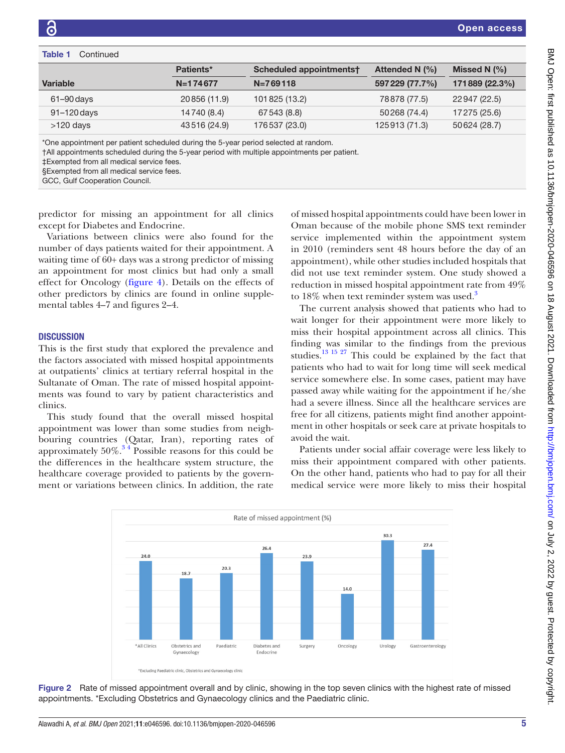#### Table 1 Continued

|                 | Patients*    | Scheduled appointments† | Attended N $(\% )$ | Missed N $(%)$ |
|-----------------|--------------|-------------------------|--------------------|----------------|
| <b>Variable</b> | $N=174677$   | $N = 769118$            | 597 229 (77.7%)    | 171889 (22.3%) |
| $61 - 90$ days  | 20856 (11.9) | 101825 (13.2)           | 78878 (77.5)       | 22947 (22.5)   |
| 91-120 days     | 14740 (8.4)  | 67543 (8.8)             | 50268 (74.4)       | 17275 (25.6)   |
| $>120$ days     | 43516 (24.9) | 176 537 (23.0)          | 125913 (71.3)      | 50624 (28.7)   |

\*One appointment per patient scheduled during the 5-year period selected at random.

†All appointments scheduled during the 5-year period with multiple appointments per patient.

‡Exempted from all medical service fees.

§Exempted from all medical service fees.

GCC, Gulf Cooperation Council.

predictor for missing an appointment for all clinics except for Diabetes and Endocrine.

Variations between clinics were also found for the number of days patients waited for their appointment. A waiting time of 60+ days was a strong predictor of missing an appointment for most clinics but had only a small effect for Oncology [\(figure](#page-6-1) 4). Details on the effects of other predictors by clinics are found in [online supple](https://dx.doi.org/10.1136/bmjopen-2020-046596)[mental tables 4–7 and figures 2–4.](https://dx.doi.org/10.1136/bmjopen-2020-046596)

#### **DISCUSSION**

This is the first study that explored the prevalence and the factors associated with missed hospital appointments at outpatients' clinics at tertiary referral hospital in the Sultanate of Oman. The rate of missed hospital appointments was found to vary by patient characteristics and clinics.

This study found that the overall missed hospital appointment was lower than some studies from neighbouring countries (Qatar, Iran), reporting rates of approximately  $50\%$ .<sup>34</sup> Possible reasons for this could be the differences in the healthcare system structure, the healthcare coverage provided to patients by the government or variations between clinics. In addition, the rate

of missed hospital appointments could have been lower in Oman because of the mobile phone SMS text reminder service implemented within the appointment system in 2010 (reminders sent 48 hours before the day of an appointment), while other studies included hospitals that did not use text reminder system. One study showed a reduction in missed hospital appointment rate from 49% to 18% when text reminder system was used.<sup>3</sup>

Open access

The current analysis showed that patients who had to wait longer for their appointment were more likely to miss their hospital appointment across all clinics. This finding was similar to the findings from the previous studies.<sup>13 15 27</sup> This could be explained by the fact that patients who had to wait for long time will seek medical service somewhere else. In some cases, patient may have passed away while waiting for the appointment if he/she had a severe illness. Since all the healthcare services are free for all citizens, patients might find another appointment in other hospitals or seek care at private hospitals to avoid the wait.

Patients under social affair coverage were less likely to miss their appointment compared with other patients. On the other hand, patients who had to pay for all their medical service were more likely to miss their hospital



<span id="page-4-0"></span>Figure 2 Rate of missed appointment overall and by clinic, showing in the top seven clinics with the highest rate of missed appointments. \*Excluding Obstetrics and Gynaecology clinics and the Paediatric clinic.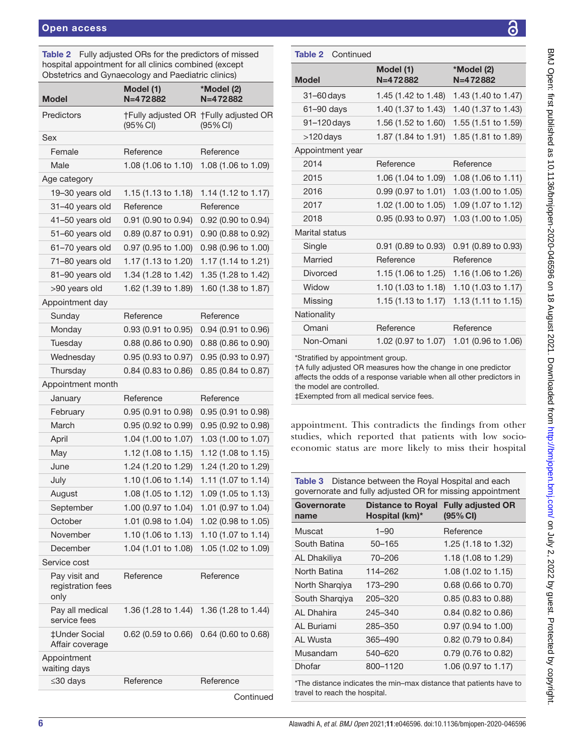<span id="page-5-0"></span>Table 2 Fully adjusted ORs for the predictors of missed hospital appointment for all clinics combined (except Obstetrics and Gynaecology and Paediatric clinics)

| Model                                      | Model (1)<br>$N=472882$ | *Model (2)<br>$N=472882$                          |
|--------------------------------------------|-------------------------|---------------------------------------------------|
| Predictors                                 | $(95% \, \text{Cl})$    | †Fully adjusted OR †Fully adjusted OR<br>(95% CI) |
| Sex                                        |                         |                                                   |
| Female                                     | Reference               | Reference                                         |
| Male                                       | 1.08 (1.06 to 1.10)     | 1.08 (1.06 to 1.09)                               |
| Age category                               |                         |                                                   |
| 19-30 years old                            | 1.15 (1.13 to 1.18)     | 1.14 (1.12 to 1.17)                               |
| 31-40 years old                            | Reference               | Reference                                         |
| 41-50 years old                            | 0.91 (0.90 to 0.94)     | 0.92 (0.90 to 0.94)                               |
| 51-60 years old                            | 0.89 (0.87 to 0.91)     | 0.90 (0.88 to 0.92)                               |
| 61-70 years old                            | 0.97 (0.95 to 1.00)     | 0.98 (0.96 to 1.00)                               |
| 71-80 years old                            | 1.17 (1.13 to 1.20)     | 1.17 (1.14 to 1.21)                               |
| 81-90 years old                            | 1.34 (1.28 to 1.42)     | 1.35 (1.28 to 1.42)                               |
| >90 years old                              | 1.62 (1.39 to 1.89)     | 1.60 (1.38 to 1.87)                               |
| Appointment day                            |                         |                                                   |
| Sunday                                     | Reference               | Reference                                         |
| Monday                                     | 0.93 (0.91 to 0.95)     | 0.94 (0.91 to 0.96)                               |
| Tuesday                                    | 0.88 (0.86 to 0.90)     | 0.88 (0.86 to 0.90)                               |
| Wednesday                                  | 0.95 (0.93 to 0.97)     | 0.95 (0.93 to 0.97)                               |
| Thursday                                   | 0.84 (0.83 to 0.86)     | 0.85 (0.84 to 0.87)                               |
| Appointment month                          |                         |                                                   |
| January                                    | Reference               | Reference                                         |
| February                                   | 0.95 (0.91 to 0.98)     | 0.95 (0.91 to 0.98)                               |
| March                                      | 0.95 (0.92 to 0.99)     | 0.95 (0.92 to 0.98)                               |
| April                                      | 1.04 (1.00 to 1.07)     | 1.03 (1.00 to 1.07)                               |
| May                                        | 1.12 (1.08 to 1.15)     | 1.12 (1.08 to 1.15)                               |
| June                                       | 1.24 (1.20 to 1.29)     | 1.24 (1.20 to 1.29)                               |
| July                                       | 1.10 (1.06 to 1.14)     | 1.11 (1.07 to 1.14)                               |
| August                                     | 1.08 (1.05 to 1.12)     | 1.09 (1.05 to 1.13)                               |
| September                                  | 1.00 (0.97 to 1.04)     | 1.01 (0.97 to 1.04)                               |
| October                                    | 1.01 (0.98 to 1.04)     | 1.02 (0.98 to 1.05)                               |
| November                                   | 1.10 (1.06 to 1.13)     | 1.10 (1.07 to 1.14)                               |
| December                                   | 1.04 (1.01 to 1.08)     | 1.05 (1.02 to 1.09)                               |
| Service cost                               |                         |                                                   |
| Pay visit and<br>registration fees<br>only | Reference               | Reference                                         |
| Pay all medical<br>service fees            | 1.36 (1.28 to 1.44)     | 1.36 (1.28 to 1.44)                               |
| ‡Under Social<br>Affair coverage           | 0.62 (0.59 to 0.66)     | 0.64 (0.60 to 0.68)                               |
| Appointment<br>waiting days                |                         |                                                   |
| ≤30 days                                   | Reference               | Reference                                         |
|                                            |                         |                                                   |

**Continued** 

### Table 2 Continued

| <b>Model</b>     | Model (1)<br>$N=472882$        | *Model (2)<br>$N=472882$       |
|------------------|--------------------------------|--------------------------------|
| $31 - 60$ days   | 1.45 (1.42 to 1.48)            | 1.43 (1.40 to 1.47)            |
| $61 - 90$ days   | 1.40 (1.37 to 1.43)            | 1.40 (1.37 to 1.43)            |
| 91-120 days      | 1.56 (1.52 to 1.60)            | 1.55 (1.51 to 1.59)            |
| $>120$ days      | 1.87 (1.84 to 1.91)            | 1.85 (1.81 to 1.89)            |
| Appointment year |                                |                                |
| 2014             | Reference                      | Reference                      |
| 2015             | 1.06 (1.04 to 1.09)            | 1.08 (1.06 to 1.11)            |
| 2016             | $0.99(0.97 \text{ to } 1.01)$  | 1.03 (1.00 to 1.05)            |
| 2017             | 1.02 (1.00 to 1.05)            | 1.09 (1.07 to 1.12)            |
| 2018             | 0.95 (0.93 to 0.97)            | 1.03 (1.00 to 1.05)            |
| Marital status   |                                |                                |
| Single           | $0.91$ (0.89 to 0.93)          | $0.91$ (0.89 to 0.93)          |
| Married          | Reference                      | Reference                      |
| Divorced         | 1.15 (1.06 to 1.25)            | 1.16 (1.06 to 1.26)            |
| Widow            | 1.10 $(1.03 \text{ to } 1.18)$ | 1.10 $(1.03 \text{ to } 1.17)$ |
| Missing          | 1.15 $(1.13 \text{ to } 1.17)$ | 1.13 (1.11 to 1.15)            |
| Nationality      |                                |                                |
| Omani            | Reference                      | Reference                      |
| Non-Omani        | 1.02 (0.97 to 1.07)            | 1.01 (0.96 to 1.06)            |
|                  |                                |                                |

\*Stratified by appointment group.

†A fully adjusted OR measures how the change in one predictor affects the odds of a response variable when all other predictors in the model are controlled.

‡Exempted from all medical service fees.

appointment. This contradicts the findings from other studies, which reported that patients with low socioeconomic status are more likely to miss their hospital

<span id="page-5-1"></span>Table 3 Distance between the Royal Hospital and each governorate and fully adjusted OR for missing appointment

| Governorate<br>name | <b>Distance to Royal</b><br>Hospital (km)* | <b>Fully adjusted OR</b><br>(95% CI) |
|---------------------|--------------------------------------------|--------------------------------------|
| Muscat              | $1 - 90$                                   | Reference                            |
| South Batina        | 50-165                                     | 1.25 (1.18 to 1.32)                  |
| <b>AL Dhakiliya</b> | 70-206                                     | 1.18 (1.08 to 1.29)                  |
| North Batina        | 114-262                                    | 1.08 (1.02 to 1.15)                  |
| North Shargiya      | 173–290                                    | $0.68$ (0.66 to 0.70)                |
| South Shargiya      | 205-320                                    | 0.85 (0.83 to 0.88)                  |
| AL Dhahira          | 245-340                                    | 0.84 (0.82 to 0.86)                  |
| AL Buriami          | 285-350                                    | 0.97 (0.94 to 1.00)                  |
| AL Wusta            | 365-490                                    | 0.82 (0.79 to 0.84)                  |
| Musandam            | 540-620                                    | 0.79 (0.76 to 0.82)                  |
| Dhofar              | 800-1120                                   | 1.06 (0.97 to 1.17)                  |
|                     |                                            |                                      |

\*The distance indicates the min–max distance that patients have to travel to reach the hospital.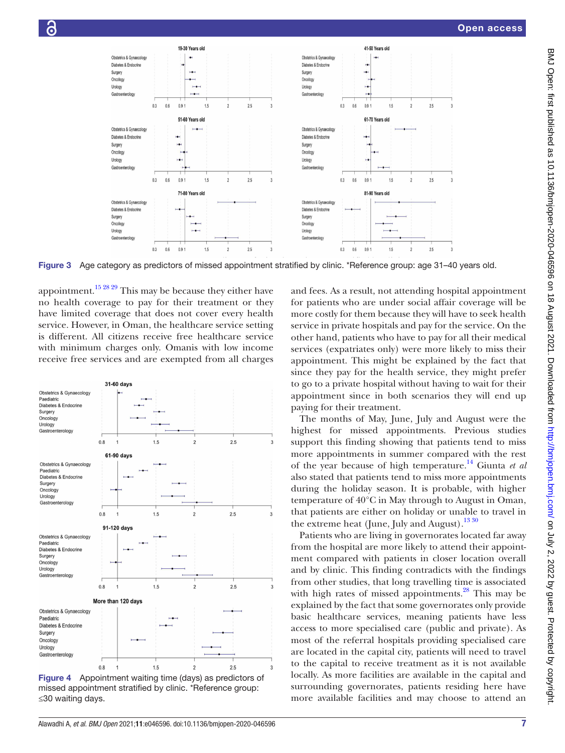

Figure 3 Age category as predictors of missed appointment stratified by clinic. \*Reference group: age 31–40 years old.

appointment.<sup>[15 28 29](#page-8-4)</sup> This may be because they either have no health coverage to pay for their treatment or they have limited coverage that does not cover every health service. However, in Oman, the healthcare service setting is different. All citizens receive free healthcare service with minimum charges only. Omanis with low income receive free services and are exempted from all charges



<span id="page-6-1"></span>Figure 4 Appointment waiting time (days) as predictors of missed appointment stratified by clinic. \*Reference group: ≤30 waiting days.

<span id="page-6-0"></span>and fees. As a result, not attending hospital appointment for patients who are under social affair coverage will be more costly for them because they will have to seek health service in private hospitals and pay for the service. On the other hand, patients who have to pay for all their medical services (expatriates only) were more likely to miss their appointment. This might be explained by the fact that since they pay for the health service, they might prefer to go to a private hospital without having to wait for their appointment since in both scenarios they will end up paying for their treatment.

The months of May, June, July and August were the highest for missed appointments. Previous studies support this finding showing that patients tend to miss more appointments in summer compared with the rest of the year because of high temperature[.14](#page-8-5) Giunta *et al* also stated that patients tend to miss more appointments during the holiday season. It is probable, with higher temperature of 40°C in May through to August in Oman, that patients are either on holiday or unable to travel in the extreme heat (June, July and August).<sup>[13 30](#page-8-0)</sup>

Patients who are living in governorates located far away from the hospital are more likely to attend their appointment compared with patients in closer location overall and by clinic. This finding contradicts with the findings from other studies, that long travelling time is associated with high rates of missed appointments. $^{28}$  This may be explained by the fact that some governorates only provide basic healthcare services, meaning patients have less access to more specialised care (public and private). As most of the referral hospitals providing specialised care are located in the capital city, patients will need to travel to the capital to receive treatment as it is not available locally. As more facilities are available in the capital and surrounding governorates, patients residing here have more available facilities and may choose to attend an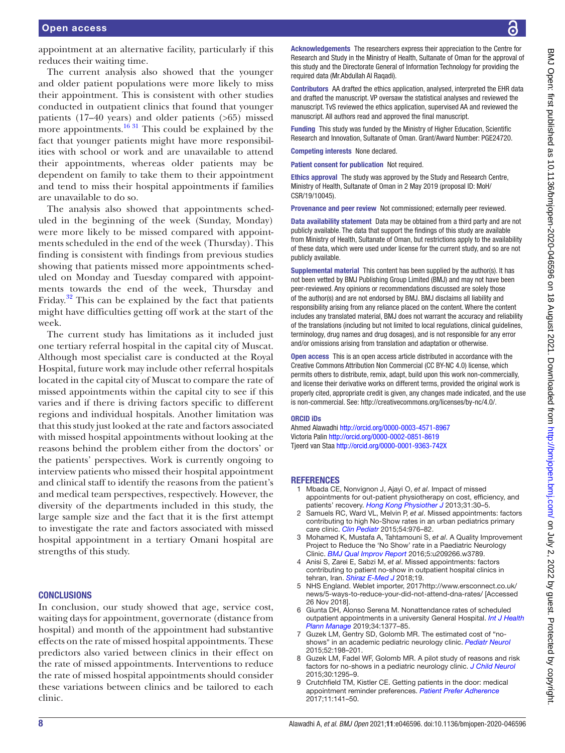appointment at an alternative facility, particularly if this reduces their waiting time.

The current analysis also showed that the younger and older patient populations were more likely to miss their appointment. This is consistent with other studies conducted in outpatient clinics that found that younger patients (17–40 years) and older patients (>65) missed more appointments.<sup>16 31</sup> This could be explained by the fact that younger patients might have more responsibilities with school or work and are unavailable to attend their appointments, whereas older patients may be dependent on family to take them to their appointment and tend to miss their hospital appointments if families are unavailable to do so.

The analysis also showed that appointments scheduled in the beginning of the week (Sunday, Monday) were more likely to be missed compared with appointments scheduled in the end of the week (Thursday). This finding is consistent with findings from previous studies showing that patients missed more appointments scheduled on Monday and Tuesday compared with appointments towards the end of the week, Thursday and Friday.<sup>32</sup> This can be explained by the fact that patients might have difficulties getting off work at the start of the week.

The current study has limitations as it included just one tertiary referral hospital in the capital city of Muscat. Although most specialist care is conducted at the Royal Hospital, future work may include other referral hospitals located in the capital city of Muscat to compare the rate of missed appointments within the capital city to see if this varies and if there is driving factors specific to different regions and individual hospitals. Another limitation was that this study just looked at the rate and factors associated with missed hospital appointments without looking at the reasons behind the problem either from the doctors' or the patients' perspectives. Work is currently ongoing to interview patients who missed their hospital appointment and clinical staff to identify the reasons from the patient's and medical team perspectives, respectively. However, the diversity of the departments included in this study, the large sample size and the fact that it is the first attempt to investigate the rate and factors associated with missed hospital appointment in a tertiary Omani hospital are strengths of this study.

#### **CONCLUSIONS**

In conclusion, our study showed that age, service cost, waiting days for appointment, governorate (distance from hospital) and month of the appointment had substantive effects on the rate of missed hospital appointments. These predictors also varied between clinics in their effect on the rate of missed appointments. Interventions to reduce the rate of missed hospital appointments should consider these variations between clinics and be tailored to each clinic.

Acknowledgements The researchers express their appreciation to the Centre for Research and Study in the Ministry of Health, Sultanate of Oman for the approval of this study and the Directorate General of Information Technology for providing the required data (Mr.Abdullah Al Raqadi).

Contributors AA drafted the ethics application, analysed, interpreted the EHR data and drafted the manuscript. VP oversaw the statistical analyses and reviewed the manuscript. TvS reviewed the ethics application, supervised AA and reviewed the manuscript. All authors read and approved the final manuscript.

Funding This study was funded by the Ministry of Higher Education, Scientific Research and Innovation, Sultanate of Oman. Grant/Award Number: PGE24720.

Competing interests None declared.

Patient consent for publication Not required.

Ethics approval The study was approved by the Study and Research Centre, Ministry of Health, Sultanate of Oman in 2 May 2019 (proposal ID: MoH/ CSR/19/10045).

Provenance and peer review Not commissioned; externally peer reviewed.

Data availability statement Data may be obtained from a third party and are not publicly available. The data that support the findings of this study are available from Ministry of Health, Sultanate of Oman, but restrictions apply to the availability of these data, which were used under license for the current study, and so are not publicly available.

Supplemental material This content has been supplied by the author(s). It has not been vetted by BMJ Publishing Group Limited (BMJ) and may not have been peer-reviewed. Any opinions or recommendations discussed are solely those of the author(s) and are not endorsed by BMJ. BMJ disclaims all liability and responsibility arising from any reliance placed on the content. Where the content includes any translated material, BMJ does not warrant the accuracy and reliability of the translations (including but not limited to local regulations, clinical guidelines, terminology, drug names and drug dosages), and is not responsible for any error and/or omissions arising from translation and adaptation or otherwise.

Open access This is an open access article distributed in accordance with the Creative Commons Attribution Non Commercial (CC BY-NC 4.0) license, which permits others to distribute, remix, adapt, build upon this work non-commercially, and license their derivative works on different terms, provided the original work is properly cited, appropriate credit is given, any changes made indicated, and the use is non-commercial. See: [http://creativecommons.org/licenses/by-nc/4.0/.](http://creativecommons.org/licenses/by-nc/4.0/)

#### ORCID iDs

Ahmed Alawadhi <http://orcid.org/0000-0003-4571-8967> Victoria Palin <http://orcid.org/0000-0002-0851-8619> Tjeerd van Staa <http://orcid.org/0000-0001-9363-742X>

#### **REFERENCES**

- <span id="page-7-0"></span>1 Mbada CE, Nonvignon J, Ajayi O, *et al*. Impact of missed appointments for out-patient physiotherapy on cost, efficiency, and patients' recovery. *[Hong Kong Physiother J](http://dx.doi.org/10.1016/j.hkpj.2012.12.001)* 2013;31:30–5.
- <span id="page-7-1"></span>2 Samuels RC, Ward VL, Melvin P, *et al*. Missed appointments: factors contributing to high No-Show rates in an urban pediatrics primary care clinic. *[Clin Pediatr](http://dx.doi.org/10.1177/0009922815570613)* 2015;54:976–82.
- <span id="page-7-5"></span>3 Mohamed K, Mustafa A, Tahtamouni S, *et al*. A Quality Improvement Project to Reduce the 'No Show' rate in a Paediatric Neurology Clinic. *[BMJ Qual Improv Report](http://dx.doi.org/10.1136/bmjquality.u209266.w3789)* 2016;5:u209266.w3789.
- 4 Anisi S, Zarei E, Sabzi M, *et al*. Missed appointments: factors contributing to patient no-show in outpatient hospital clinics in tehran, Iran. *[Shiraz E-Med J](http://dx.doi.org/10.5812/semj.63238)* 2018;19.
- <span id="page-7-2"></span>5 NHS England. Weblet importer, 2017[http://www.ersconnect.co.uk/](http://www.ersconnect.co.uk/news/5-ways-to-reduce-your-did-not-attend-dna-rates/) [news/5-ways-to-reduce-your-did-not-attend-dna-rates/](http://www.ersconnect.co.uk/news/5-ways-to-reduce-your-did-not-attend-dna-rates/) [Accessed 26 Nov 2018].
- <span id="page-7-3"></span>6 Giunta DH, Alonso Serena M. Nonattendance rates of scheduled outpatient appointments in a university General Hospital. *[Int J Health](http://dx.doi.org/10.1002/hpm.2797)  [Plann Manage](http://dx.doi.org/10.1002/hpm.2797)* 2019;34:1377–85.
- <span id="page-7-4"></span>7 Guzek LM, Gentry SD, Golomb MR. The estimated cost of "noshows" in an academic pediatric neurology clinic. *[Pediatr Neurol](http://dx.doi.org/10.1016/j.pediatrneurol.2014.10.020)* 2015;52:198–201.
- 8 Guzek LM, Fadel WF, Golomb MR. A pilot study of reasons and risk factors for no-shows in a pediatric neurology clinic. *[J Child Neurol](http://dx.doi.org/10.1177/0883073814559098)* 2015;30:1295–9.
- 9 Crutchfield TM, Kistler CE. Getting patients in the door: medical appointment reminder preferences. *[Patient Prefer Adherence](http://dx.doi.org/10.2147/PPA.S117396)* 2017;11:141–50.